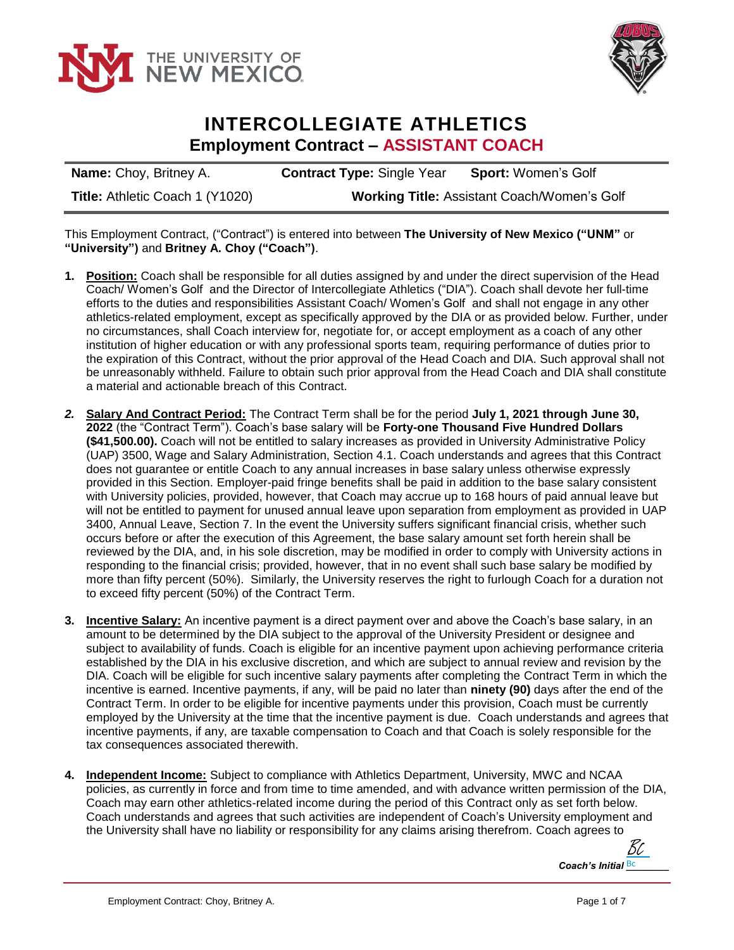



## **INTERCOLLEGIATE ATHLETICS Employment Contract – ASSISTANT COACH**

**Name:** Choy, Britney A. **Contract Type:** Single Year **Sport:** Women's Golf **Title:** Athletic Coach 1 (Y1020) **Working Title:** Assistant Coach/Women's Golf

This Employment Contract, ("Contract") is entered into between **The University of New Mexico ("UNM"** or **"University")** and **Britney A. Choy ("Coach")**.

- **1. Position:** Coach shall be responsible for all duties assigned by and under the direct supervision of the Head Coach/ Women's Golf and the Director of Intercollegiate Athletics ("DIA"). Coach shall devote her full-time efforts to the duties and responsibilities Assistant Coach/ Women's Golf and shall not engage in any other athletics-related employment, except as specifically approved by the DIA or as provided below. Further, under no circumstances, shall Coach interview for, negotiate for, or accept employment as a coach of any other institution of higher education or with any professional sports team, requiring performance of duties prior to the expiration of this Contract, without the prior approval of the Head Coach and DIA. Such approval shall not be unreasonably withheld. Failure to obtain such prior approval from the Head Coach and DIA shall constitute a material and actionable breach of this Contract.
- *2.* **Salary And Contract Period:** The Contract Term shall be for the period **July 1, 2021 through June 30, 2022** (the "Contract Term"). Coach's base salary will be **Forty-one Thousand Five Hundred Dollars (\$41,500.00).** Coach will not be entitled to salary increases as provided in University Administrative Policy (UAP) 3500, Wage and Salary Administration, Section 4.1. Coach understands and agrees that this Contract does not guarantee or entitle Coach to any annual increases in base salary unless otherwise expressly provided in this Section. Employer-paid fringe benefits shall be paid in addition to the base salary consistent with University policies, provided, however, that Coach may accrue up to 168 hours of paid annual leave but will not be entitled to payment for unused annual leave upon separation from employment as provided in UAP 3400, Annual Leave, Section 7. In the event the University suffers significant financial crisis, whether such occurs before or after the execution of this Agreement, the base salary amount set forth herein shall be reviewed by the DIA, and, in his sole discretion, may be modified in order to comply with University actions in responding to the financial crisis; provided, however, that in no event shall such base salary be modified by more than fifty percent (50%). Similarly, the University reserves the right to furlough Coach for a duration not to exceed fifty percent (50%) of the Contract Term.
- **3. Incentive Salary:** An incentive payment is a direct payment over and above the Coach's base salary, in an amount to be determined by the DIA subject to the approval of the University President or designee and subject to availability of funds. Coach is eligible for an incentive payment upon achieving performance criteria established by the DIA in his exclusive discretion, and which are subject to annual review and revision by the DIA. Coach will be eligible for such incentive salary payments after completing the Contract Term in which the incentive is earned. Incentive payments, if any, will be paid no later than **ninety (90)** days after the end of the Contract Term. In order to be eligible for incentive payments under this provision, Coach must be currently employed by the University at the time that the incentive payment is due. Coach understands and agrees that incentive payments, if any, are taxable compensation to Coach and that Coach is solely responsible for the tax consequences associated therewith.
- **4. Independent Income:** Subject to compliance with Athletics Department, University, MWC and NCAA policies, as currently in force and from time to time amended, and with advance written permission of the DIA, Coach may earn other athletics-related income during the period of this Contract only as set forth below. Coach understands and agrees that such activities are independent of Coach's University employment and the University shall have no liability or responsibility for any claims arising therefrom. Coach agrees to

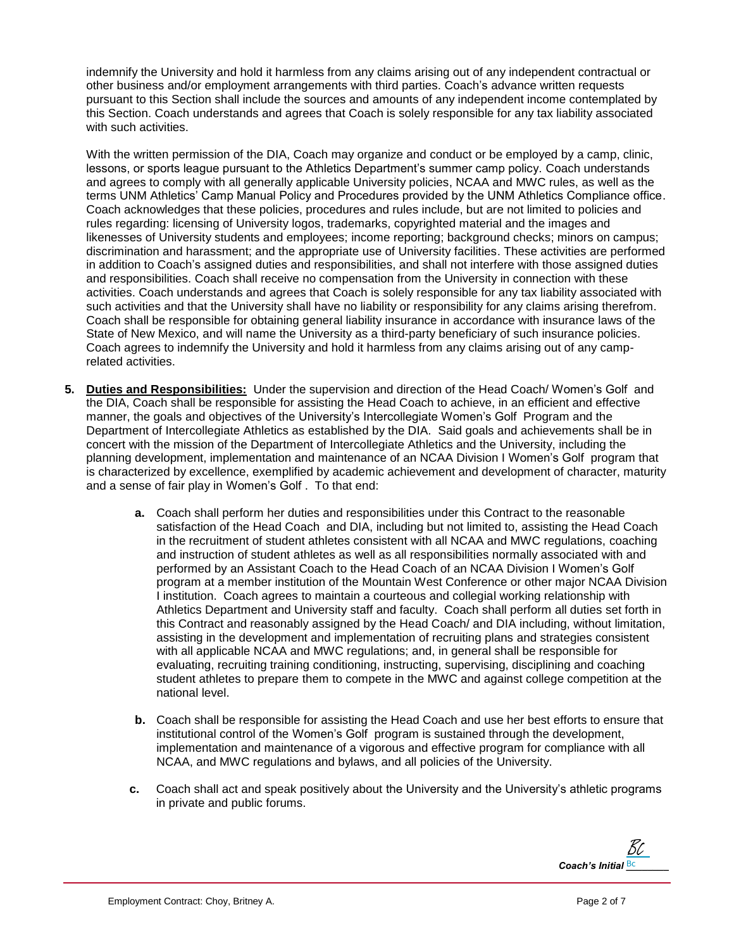indemnify the University and hold it harmless from any claims arising out of any independent contractual or other business and/or employment arrangements with third parties. Coach's advance written requests pursuant to this Section shall include the sources and amounts of any independent income contemplated by this Section. Coach understands and agrees that Coach is solely responsible for any tax liability associated with such activities.

With the written permission of the DIA, Coach may organize and conduct or be employed by a camp, clinic, lessons, or sports league pursuant to the Athletics Department's summer camp policy. Coach understands and agrees to comply with all generally applicable University policies, NCAA and MWC rules, as well as the terms UNM Athletics' Camp Manual Policy and Procedures provided by the UNM Athletics Compliance office. Coach acknowledges that these policies, procedures and rules include, but are not limited to policies and rules regarding: licensing of University logos, trademarks, copyrighted material and the images and likenesses of University students and employees; income reporting; background checks; minors on campus; discrimination and harassment; and the appropriate use of University facilities. These activities are performed in addition to Coach's assigned duties and responsibilities, and shall not interfere with those assigned duties and responsibilities. Coach shall receive no compensation from the University in connection with these activities. Coach understands and agrees that Coach is solely responsible for any tax liability associated with such activities and that the University shall have no liability or responsibility for any claims arising therefrom. Coach shall be responsible for obtaining general liability insurance in accordance with insurance laws of the State of New Mexico, and will name the University as a third-party beneficiary of such insurance policies. Coach agrees to indemnify the University and hold it harmless from any claims arising out of any camprelated activities.

- **5. Duties and Responsibilities:** Under the supervision and direction of the Head Coach/ Women's Golf and the DIA, Coach shall be responsible for assisting the Head Coach to achieve, in an efficient and effective manner, the goals and objectives of the University's Intercollegiate Women's Golf Program and the Department of Intercollegiate Athletics as established by the DIA. Said goals and achievements shall be in concert with the mission of the Department of Intercollegiate Athletics and the University, including the planning development, implementation and maintenance of an NCAA Division I Women's Golf program that is characterized by excellence, exemplified by academic achievement and development of character, maturity and a sense of fair play in Women's Golf . To that end:
	- **a.** Coach shall perform her duties and responsibilities under this Contract to the reasonable satisfaction of the Head Coach and DIA, including but not limited to, assisting the Head Coach in the recruitment of student athletes consistent with all NCAA and MWC regulations, coaching and instruction of student athletes as well as all responsibilities normally associated with and performed by an Assistant Coach to the Head Coach of an NCAA Division I Women's Golf program at a member institution of the Mountain West Conference or other major NCAA Division I institution. Coach agrees to maintain a courteous and collegial working relationship with Athletics Department and University staff and faculty. Coach shall perform all duties set forth in this Contract and reasonably assigned by the Head Coach/ and DIA including, without limitation, assisting in the development and implementation of recruiting plans and strategies consistent with all applicable NCAA and MWC regulations; and, in general shall be responsible for evaluating, recruiting training conditioning, instructing, supervising, disciplining and coaching student athletes to prepare them to compete in the MWC and against college competition at the national level.
	- **b.** Coach shall be responsible for assisting the Head Coach and use her best efforts to ensure that institutional control of the Women's Golf program is sustained through the development, implementation and maintenance of a vigorous and effective program for compliance with all NCAA, and MWC regulations and bylaws, and all policies of the University.
	- **c.** Coach shall act and speak positively about the University and the University's athletic programs in private and public forums.

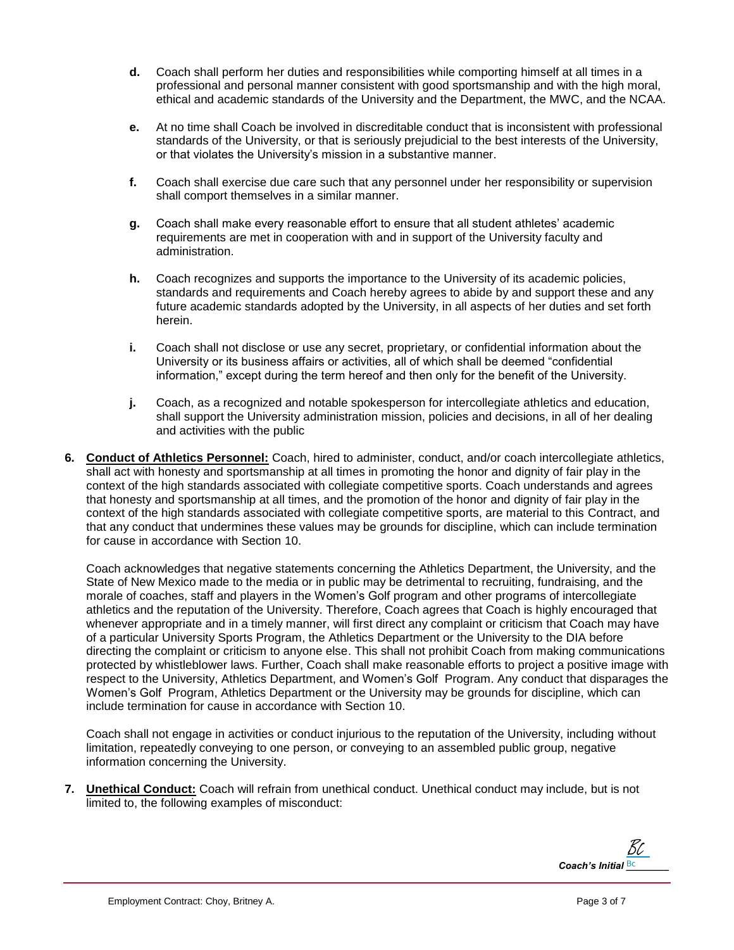- **d.** Coach shall perform her duties and responsibilities while comporting himself at all times in a professional and personal manner consistent with good sportsmanship and with the high moral, ethical and academic standards of the University and the Department, the MWC, and the NCAA.
- **e.** At no time shall Coach be involved in discreditable conduct that is inconsistent with professional standards of the University, or that is seriously prejudicial to the best interests of the University, or that violates the University's mission in a substantive manner.
- **f.** Coach shall exercise due care such that any personnel under her responsibility or supervision shall comport themselves in a similar manner.
- **g.** Coach shall make every reasonable effort to ensure that all student athletes' academic requirements are met in cooperation with and in support of the University faculty and administration.
- **h.** Coach recognizes and supports the importance to the University of its academic policies, standards and requirements and Coach hereby agrees to abide by and support these and any future academic standards adopted by the University, in all aspects of her duties and set forth herein.
- **i.** Coach shall not disclose or use any secret, proprietary, or confidential information about the University or its business affairs or activities, all of which shall be deemed "confidential information," except during the term hereof and then only for the benefit of the University.
- **j.** Coach, as a recognized and notable spokesperson for intercollegiate athletics and education, shall support the University administration mission, policies and decisions, in all of her dealing and activities with the public
- **6. Conduct of Athletics Personnel:** Coach, hired to administer, conduct, and/or coach intercollegiate athletics, shall act with honesty and sportsmanship at all times in promoting the honor and dignity of fair play in the context of the high standards associated with collegiate competitive sports. Coach understands and agrees that honesty and sportsmanship at all times, and the promotion of the honor and dignity of fair play in the context of the high standards associated with collegiate competitive sports, are material to this Contract, and that any conduct that undermines these values may be grounds for discipline, which can include termination for cause in accordance with Section 10.

Coach acknowledges that negative statements concerning the Athletics Department, the University, and the State of New Mexico made to the media or in public may be detrimental to recruiting, fundraising, and the morale of coaches, staff and players in the Women's Golf program and other programs of intercollegiate athletics and the reputation of the University. Therefore, Coach agrees that Coach is highly encouraged that whenever appropriate and in a timely manner, will first direct any complaint or criticism that Coach may have of a particular University Sports Program, the Athletics Department or the University to the DIA before directing the complaint or criticism to anyone else. This shall not prohibit Coach from making communications protected by whistleblower laws. Further, Coach shall make reasonable efforts to project a positive image with respect to the University, Athletics Department, and Women's Golf Program. Any conduct that disparages the Women's Golf Program, Athletics Department or the University may be grounds for discipline, which can include termination for cause in accordance with Section 10.

Coach shall not engage in activities or conduct injurious to the reputation of the University, including without limitation, repeatedly conveying to one person, or conveying to an assembled public group, negative information concerning the University.

**7. Unethical Conduct:** Coach will refrain from unethical conduct. Unethical conduct may include, but is not limited to, the following examples of misconduct:

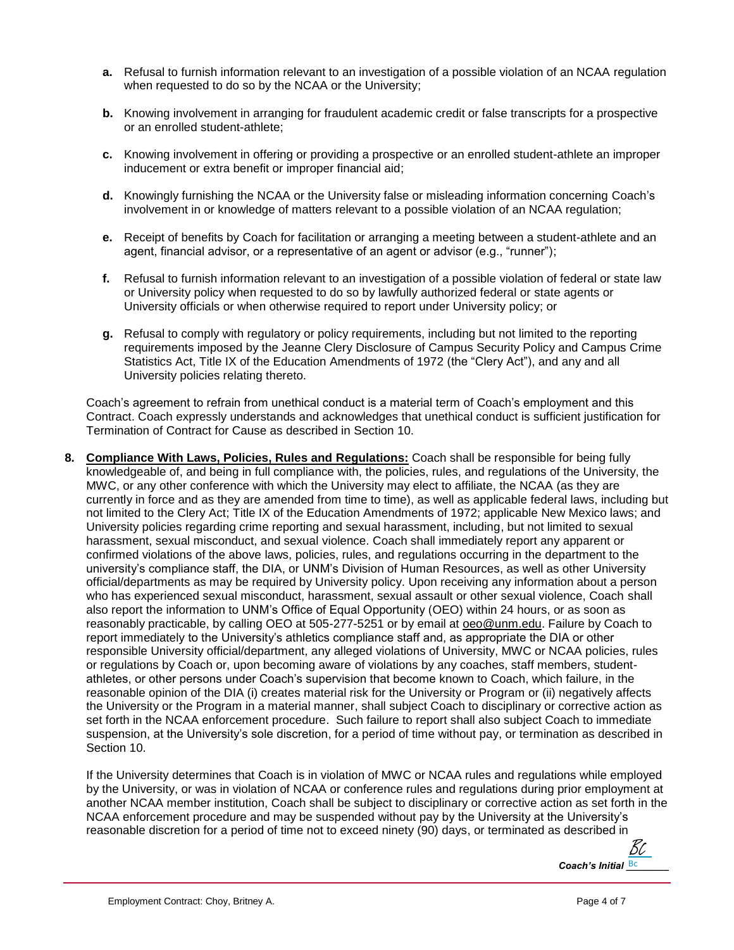- **a.** Refusal to furnish information relevant to an investigation of a possible violation of an NCAA regulation when requested to do so by the NCAA or the University;
- **b.** Knowing involvement in arranging for fraudulent academic credit or false transcripts for a prospective or an enrolled student-athlete;
- **c.** Knowing involvement in offering or providing a prospective or an enrolled student-athlete an improper inducement or extra benefit or improper financial aid;
- **d.** Knowingly furnishing the NCAA or the University false or misleading information concerning Coach's involvement in or knowledge of matters relevant to a possible violation of an NCAA regulation;
- **e.** Receipt of benefits by Coach for facilitation or arranging a meeting between a student-athlete and an agent, financial advisor, or a representative of an agent or advisor (e.g., "runner");
- **f.** Refusal to furnish information relevant to an investigation of a possible violation of federal or state law or University policy when requested to do so by lawfully authorized federal or state agents or University officials or when otherwise required to report under University policy; or
- **g.** Refusal to comply with regulatory or policy requirements, including but not limited to the reporting requirements imposed by the Jeanne Clery Disclosure of Campus Security Policy and Campus Crime Statistics Act, Title IX of the Education Amendments of 1972 (the "Clery Act"), and any and all University policies relating thereto.

Coach's agreement to refrain from unethical conduct is a material term of Coach's employment and this Contract. Coach expressly understands and acknowledges that unethical conduct is sufficient justification for Termination of Contract for Cause as described in Section 10.

**8. Compliance With Laws, Policies, Rules and Regulations:** Coach shall be responsible for being fully knowledgeable of, and being in full compliance with, the policies, rules, and regulations of the University, the MWC, or any other conference with which the University may elect to affiliate, the NCAA (as they are currently in force and as they are amended from time to time), as well as applicable federal laws, including but not limited to the Clery Act; Title IX of the Education Amendments of 1972; applicable New Mexico laws; and University policies regarding crime reporting and sexual harassment, including, but not limited to sexual harassment, sexual misconduct, and sexual violence. Coach shall immediately report any apparent or confirmed violations of the above laws, policies, rules, and regulations occurring in the department to the university's compliance staff, the DIA, or UNM's Division of Human Resources, as well as other University official/departments as may be required by University policy. Upon receiving any information about a person who has experienced sexual misconduct, harassment, sexual assault or other sexual violence, Coach shall also report the information to UNM's Office of Equal Opportunity (OEO) within 24 hours, or as soon as reasonably practicable, by calling OEO at 505-277-5251 or by email at [oeo@unm.edu.](mailto:oeo@unm.edu) Failure by Coach to report immediately to the University's athletics compliance staff and, as appropriate the DIA or other responsible University official/department, any alleged violations of University, MWC or NCAA policies, rules or regulations by Coach or, upon becoming aware of violations by any coaches, staff members, studentathletes, or other persons under Coach's supervision that become known to Coach, which failure, in the reasonable opinion of the DIA (i) creates material risk for the University or Program or (ii) negatively affects the University or the Program in a material manner, shall subject Coach to disciplinary or corrective action as set forth in the NCAA enforcement procedure. Such failure to report shall also subject Coach to immediate suspension, at the University's sole discretion, for a period of time without pay, or termination as described in Section 10.

If the University determines that Coach is in violation of MWC or NCAA rules and regulations while employed by the University, or was in violation of NCAA or conference rules and regulations during prior employment at another NCAA member institution, Coach shall be subject to disciplinary or corrective action as set forth in the NCAA enforcement procedure and may be suspended without pay by the University at the University's reasonable discretion for a period of time not to exceed ninety (90) days, or terminated as described in

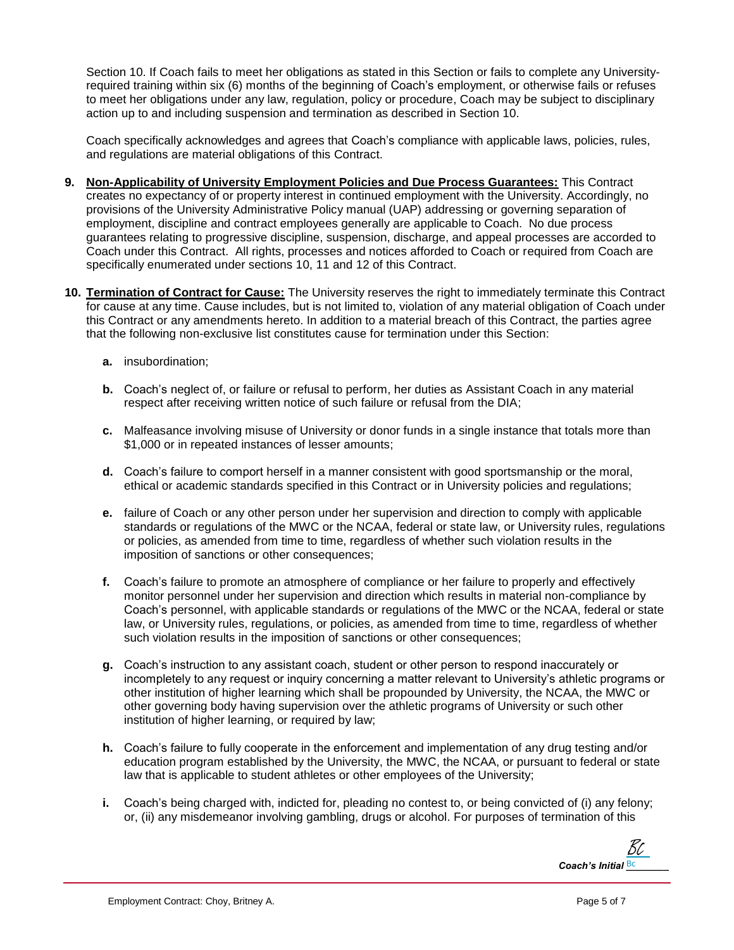Section 10. If Coach fails to meet her obligations as stated in this Section or fails to complete any Universityrequired training within six (6) months of the beginning of Coach's employment, or otherwise fails or refuses to meet her obligations under any law, regulation, policy or procedure, Coach may be subject to disciplinary action up to and including suspension and termination as described in Section 10.

Coach specifically acknowledges and agrees that Coach's compliance with applicable laws, policies, rules, and regulations are material obligations of this Contract.

- **9. Non-Applicability of University Employment Policies and Due Process Guarantees:** This Contract creates no expectancy of or property interest in continued employment with the University. Accordingly, no provisions of the University Administrative Policy manual (UAP) addressing or governing separation of employment, discipline and contract employees generally are applicable to Coach. No due process guarantees relating to progressive discipline, suspension, discharge, and appeal processes are accorded to Coach under this Contract. All rights, processes and notices afforded to Coach or required from Coach are specifically enumerated under sections 10, 11 and 12 of this Contract.
- **10. Termination of Contract for Cause:** The University reserves the right to immediately terminate this Contract for cause at any time. Cause includes, but is not limited to, violation of any material obligation of Coach under this Contract or any amendments hereto. In addition to a material breach of this Contract, the parties agree that the following non-exclusive list constitutes cause for termination under this Section:
	- **a.** insubordination;
	- **b.** Coach's neglect of, or failure or refusal to perform, her duties as Assistant Coach in any material respect after receiving written notice of such failure or refusal from the DIA;
	- **c.** Malfeasance involving misuse of University or donor funds in a single instance that totals more than \$1,000 or in repeated instances of lesser amounts;
	- **d.** Coach's failure to comport herself in a manner consistent with good sportsmanship or the moral, ethical or academic standards specified in this Contract or in University policies and regulations;
	- **e.** failure of Coach or any other person under her supervision and direction to comply with applicable standards or regulations of the MWC or the NCAA, federal or state law, or University rules, regulations or policies, as amended from time to time, regardless of whether such violation results in the imposition of sanctions or other consequences;
	- **f.** Coach's failure to promote an atmosphere of compliance or her failure to properly and effectively monitor personnel under her supervision and direction which results in material non-compliance by Coach's personnel, with applicable standards or regulations of the MWC or the NCAA, federal or state law, or University rules, regulations, or policies, as amended from time to time, regardless of whether such violation results in the imposition of sanctions or other consequences;
	- **g.** Coach's instruction to any assistant coach, student or other person to respond inaccurately or incompletely to any request or inquiry concerning a matter relevant to University's athletic programs or other institution of higher learning which shall be propounded by University, the NCAA, the MWC or other governing body having supervision over the athletic programs of University or such other institution of higher learning, or required by law;
	- **h.** Coach's failure to fully cooperate in the enforcement and implementation of any drug testing and/or education program established by the University, the MWC, the NCAA, or pursuant to federal or state law that is applicable to student athletes or other employees of the University;
	- **i.** Coach's being charged with, indicted for, pleading no contest to, or being convicted of (i) any felony; or, (ii) any misdemeanor involving gambling, drugs or alcohol. For purposes of termination of this

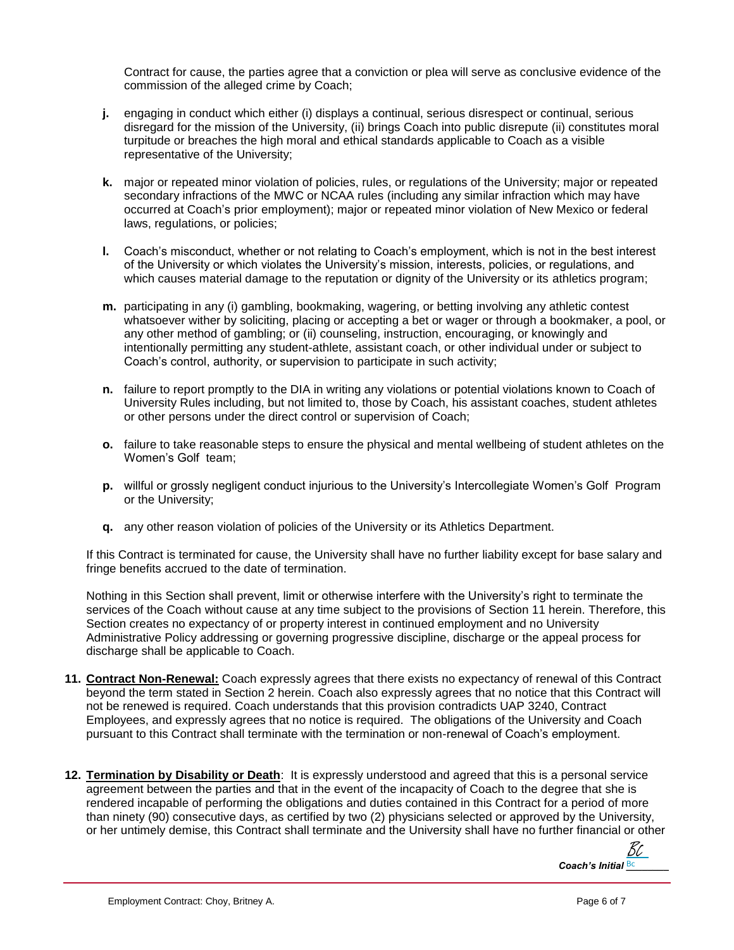Contract for cause, the parties agree that a conviction or plea will serve as conclusive evidence of the commission of the alleged crime by Coach;

- **j.** engaging in conduct which either (i) displays a continual, serious disrespect or continual, serious disregard for the mission of the University, (ii) brings Coach into public disrepute (ii) constitutes moral turpitude or breaches the high moral and ethical standards applicable to Coach as a visible representative of the University;
- **k.** major or repeated minor violation of policies, rules, or regulations of the University; major or repeated secondary infractions of the MWC or NCAA rules (including any similar infraction which may have occurred at Coach's prior employment); major or repeated minor violation of New Mexico or federal laws, regulations, or policies;
- **l.** Coach's misconduct, whether or not relating to Coach's employment, which is not in the best interest of the University or which violates the University's mission, interests, policies, or regulations, and which causes material damage to the reputation or dignity of the University or its athletics program;
- **m.** participating in any (i) gambling, bookmaking, wagering, or betting involving any athletic contest whatsoever wither by soliciting, placing or accepting a bet or wager or through a bookmaker, a pool, or any other method of gambling; or (ii) counseling, instruction, encouraging, or knowingly and intentionally permitting any student-athlete, assistant coach, or other individual under or subject to Coach's control, authority, or supervision to participate in such activity;
- **n.** failure to report promptly to the DIA in writing any violations or potential violations known to Coach of University Rules including, but not limited to, those by Coach, his assistant coaches, student athletes or other persons under the direct control or supervision of Coach;
- **o.** failure to take reasonable steps to ensure the physical and mental wellbeing of student athletes on the Women's Golf team;
- **p.** willful or grossly negligent conduct injurious to the University's Intercollegiate Women's Golf Program or the University;
- **q.** any other reason violation of policies of the University or its Athletics Department.

If this Contract is terminated for cause, the University shall have no further liability except for base salary and fringe benefits accrued to the date of termination.

Nothing in this Section shall prevent, limit or otherwise interfere with the University's right to terminate the services of the Coach without cause at any time subject to the provisions of Section 11 herein. Therefore, this Section creates no expectancy of or property interest in continued employment and no University Administrative Policy addressing or governing progressive discipline, discharge or the appeal process for discharge shall be applicable to Coach.

- **11. Contract Non-Renewal:** Coach expressly agrees that there exists no expectancy of renewal of this Contract beyond the term stated in Section 2 herein. Coach also expressly agrees that no notice that this Contract will not be renewed is required. Coach understands that this provision contradicts UAP 3240, Contract Employees, and expressly agrees that no notice is required. The obligations of the University and Coach pursuant to this Contract shall terminate with the termination or non-renewal of Coach's employment.
- **12. Termination by Disability or Death**: It is expressly understood and agreed that this is a personal service agreement between the parties and that in the event of the incapacity of Coach to the degree that she is rendered incapable of performing the obligations and duties contained in this Contract for a period of more than ninety (90) consecutive days, as certified by two (2) physicians selected or approved by the University, or her untimely demise, this Contract shall terminate and the University shall have no further financial or other

*Coach's Initial Bc* Bc